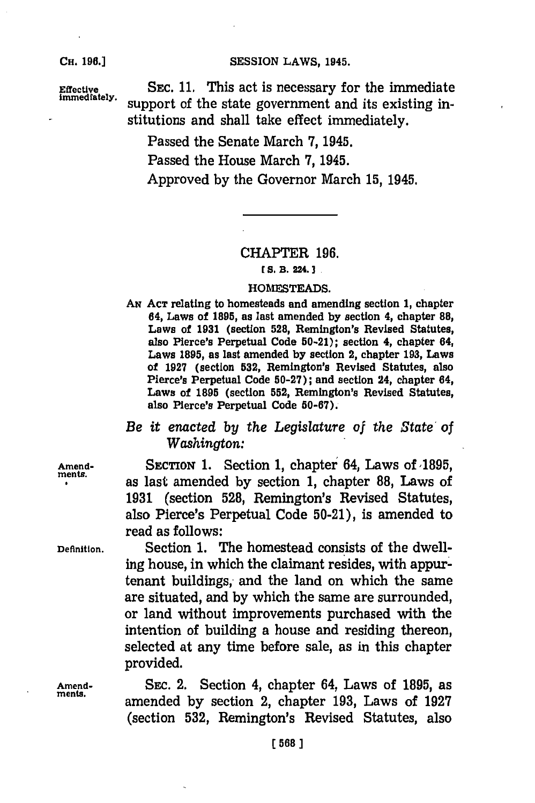#### **CH. 98.]SESSION** LAWS, 1945.

**CH. 196.1**

**Effective** SEC. 11. This act is necessary for the immediate immediate support of the state government and its existing institutions and shall take effect immediately.

Passed the Senate March **7,** 1945.

Passed the House March **7,** 1945.

Approved **by** the Governor March **15,** 1945.

## CHAPTER **196.**

#### *E* **S. B. 224.13**

### **HOMESTEADS.**

**AN ACT** relating to homesteads and amending section **1,** chapter 64, Laws of **1895,** as last amended **by** section 4, chapter **88,** Laws of **1931** (section **528,** Remington's Revised Statutes, also Pierce's Perpetual Code **50-21);** section 4, chapter 84, Laws **1895,** as last amended **by** section 2, chapter **193,** Laws of **1927** (section **532,** Remington's Revised Statutes, also Pierce's Perpetual Code **50-27);** and section 24, chapter 64, Laws of **1895** (section **552,** Remington's Revised Statutes, also Pierce's Perpetual Code **50-67).**

# *Be it enacted by the Legislature of the State of Washington:*

Amend-<br>ments. **SECTION 1.** Section 1, chapter 64, Laws of 1895, as last amended **by** section **1,** chapter **88,** Laws of **1931** (section **528,** Remington's Revised Statutes, also Pierce's Perpetual Code 50-21), is amended to read as follows:

**Definition.** Section **1.** The homestead consists of the dwelling house, in which the claimant resides, with appurtenant buildings, and the land on which the same are situated, and **by** which the same are surrounded, or land without improvements purchased with the intention of building a house and residing thereon, selected at any time before sale, as in this chapter provided.

**Amend-** SEC. 2. Section 4, chapter 64, Laws of **1895,** as ments. amended **by** section 2, chapter **193,** Laws of **1927** (section **532,** Remington's Revised Statutes, also